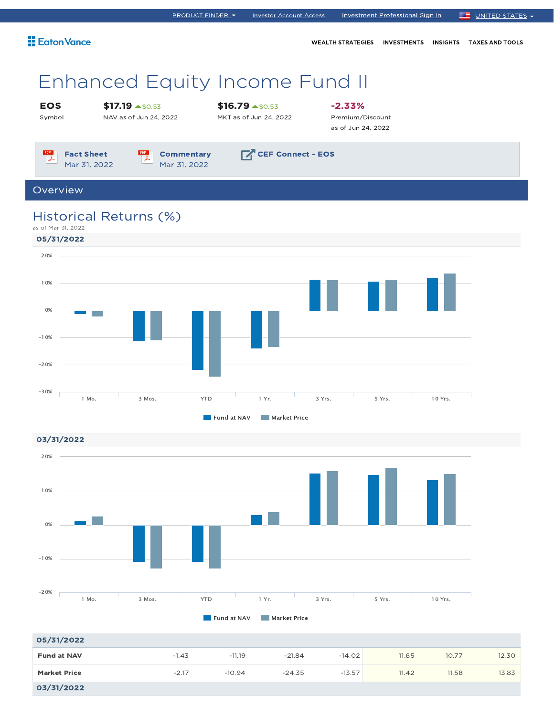| <b>Eaton Vance</b>                |                                                      |                                                   | <b>WEALTH STRATEGIES</b>                            | <b>INVESTMENTS</b> | <b>INSIGHTS</b> | <b>TAXES AND TOOLS</b> |
|-----------------------------------|------------------------------------------------------|---------------------------------------------------|-----------------------------------------------------|--------------------|-----------------|------------------------|
|                                   | <b>Enhanced Equity Income Fund II</b>                |                                                   |                                                     |                    |                 |                        |
| <b>EOS</b><br>Symbol              | $$17.19 \rightarrow $0.53$<br>NAV as of Jun 24, 2022 | $$16.79 \text{ A}50.53$<br>MKT as of Jun 24, 2022 | $-2.33\%$<br>Premium/Discount<br>as of Jun 24, 2022 |                    |                 |                        |
| <b>Fact Sheet</b><br>Mar 31, 2022 | <b>Commentary</b><br>Mar 31, 2022                    | <b>CEF Connect - EOS</b>                          |                                                     |                    |                 |                        |
| Overview                          |                                                      |                                                   |                                                     |                    |                 |                        |
|                                   | Historical Returns (%)                               |                                                   |                                                     |                    |                 |                        |

PRODUCT FINDER 
Investor Account Access

Investment Professional Sign In **E** UNITED STATES





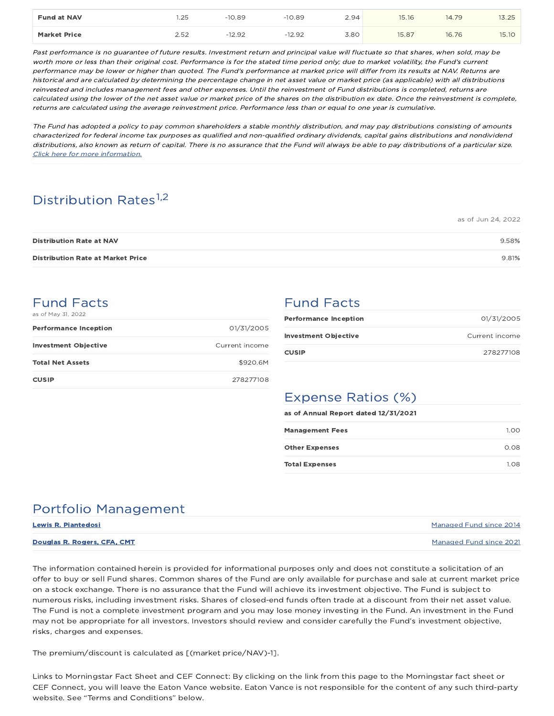| <b>Fund at NAV</b>  | l.25               | 10.89 | $-10.89$        | 2.94 | 15.16 | 14.79 | $\cap$<br>13.ZJ             |
|---------------------|--------------------|-------|-----------------|------|-------|-------|-----------------------------|
| <b>Market Price</b> | 250<br><b>L.JL</b> | 12.90 | $-12.92$<br>- 1 | 3.80 | 15.87 | 16.76 | 15.1 <sub>C</sub><br>13. IU |

Past performance is no guarantee of future results. Investment return and principal value will fluctuate so that shares, when sold, may be worth more or less than their original cost. Performance is for the stated time period only; due to market volatility, the Fund's current performance may be lower or higher than quoted. The Fund's performance at market price will differ from its results at NAV. Returns are historical and are calculated by determining the percentage change in net asset value or market price (as applicable) with all distributions reinvested and includes management fees and other expenses. Until the reinvestment of Fund distributions is completed, returns are calculated using the lower of the net asset value or market price of the shares on the distribution ex date. Once the reinvestment is complete, returns are calculated using the average reinvestment price. Performance less than or equal to one year is cumulative.

The Fund has adopted a policy to pay common shareholders a stable monthly distribution, and may pay distributions consisting of amounts characterized for federal income tax purposes as qualified and non-qualified ordinary dividends, capital gains distributions and nondividend distributions, also known as return of capital. There is no assurance that the Fund will always be able to pay distributions of <sup>a</sup> particular size. Click here for more information.

# Distribution Rates<sup>1,2</sup>

|                                          | as of Jun 24, 2022 |
|------------------------------------------|--------------------|
| <b>Distribution Rate at NAV</b>          | 9.58%              |
| <b>Distribution Rate at Market Price</b> | 9.81%              |

### Fund Facts as of May 31, 2022

| <b>Performance Inception</b> | 01/31/2005     |
|------------------------------|----------------|
| <b>Investment Objective</b>  | Current income |
| <b>Total Net Assets</b>      | \$920.6M       |
| <b>CUSIP</b>                 | 278277108      |

## Fund Facts

| <b>Performance Inception</b> | 01/31/2005     |
|------------------------------|----------------|
| <b>Investment Objective</b>  | Current income |
| <b>CUSIP</b>                 | 278277108      |

# Expense Ratios (%)

| as of Annual Report dated 12/31/2021 |      |
|--------------------------------------|------|
| <b>Management Fees</b>               | 1.00 |
| <b>Other Expenses</b>                | 0.08 |
| <b>Total Expenses</b>                | 1.08 |

## Portfolio Management

| <b>Lewis R. Piantedosi</b>         | Managed Fund since 2014 |
|------------------------------------|-------------------------|
| <b>Douglas R. Rogers, CFA, CMT</b> | Managed Fund since 2021 |

The information contained herein is provided for informational purposes only and does not constitute a solicitation of an offer to buy or sell Fund shares. Common shares of the Fund are only available for purchase and sale at current market price on a stock exchange. There is no assurance that the Fund will achieve its investment objective. The Fund is subject to numerous risks, including investment risks. Shares of closed-end funds often trade at a discount from their net asset value. The Fund is not a complete investment program and you may lose money investing in the Fund. An investment in the Fund may not be appropriate for all investors. Investors should review and consider carefully the Fund's investment objective, risks, charges and expenses.

The premium/discount is calculated as [(market price/NAV)-1].

Links to Morningstar Fact Sheet and CEF Connect: By clicking on the link from this page to the Morningstar fact sheet or CEF Connect, you will leave the Eaton Vance website. Eaton Vance is not responsible for the content of any such third-party website. See "Terms and Conditions" below.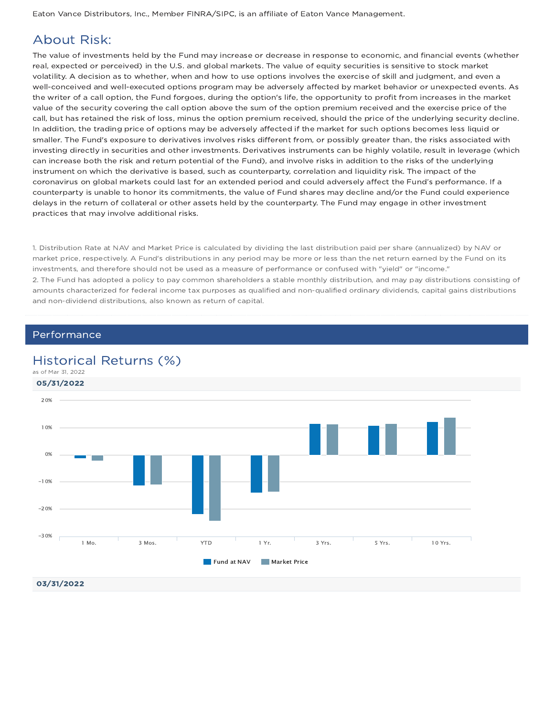Eaton Vance Distributors, Inc., Member FINRA/SIPC, is an affiliate of Eaton Vance Management.

## About Risk:

The value of investments held by the Fund may increase or decrease in response to economic, and financial events (whether real, expected or perceived) in the U.S. and global markets. The value of equity securities is sensitive to stock market volatility. A decision as to whether, when and how to use options involves the exercise of skill and judgment, and even a well-conceived and well-executed options program may be adversely affected by market behavior or unexpected events. As the writer of a call option, the Fund forgoes, during the option's life, the opportunity to profit from increases in the market value of the security covering the call option above the sum of the option premium received and the exercise price of the call, but has retained the risk of loss, minus the option premium received, should the price of the underlying security decline. In addition, the trading price of options may be adversely affected if the market for such options becomes less liquid or smaller. The Fund's exposure to derivatives involves risks different from, or possibly greater than, the risks associated with investing directly in securities and other investments. Derivatives instruments can be highly volatile, result in leverage (which can increase both the risk and return potential of the Fund), and involve risks in addition to the risks of the underlying instrument on which the derivative is based, such as counterparty, correlation and liquidity risk. The impact of the coronavirus on global markets could last for an extended period and could adversely affect the Fund's performance. If a counterparty is unable to honor its commitments, the value of Fund shares may decline and/or the Fund could experience delays in the return of collateral or other assets held by the counterparty. The Fund may engage in other investment practices that may involve additional risks.

1. Distribution Rate at NAV and Market Price is calculated by dividing the last distribution paid per share (annualized) by NAV or market price, respectively. A Fund's distributions in any period may be more or less than the net return earned by the Fund on its investments, and therefore should not be used as a measure of performance or confused with "yield" or "income." 2. The Fund has adopted a policy to pay common shareholders a stable monthly distribution, and may pay distributions consisting of amounts characterized for federal income tax purposes as qualified and non-qualified ordinary dividends, capital gains distributions and non-dividend distributions, also known as return of capital.

### **Performance**

### Historical Returns (%)

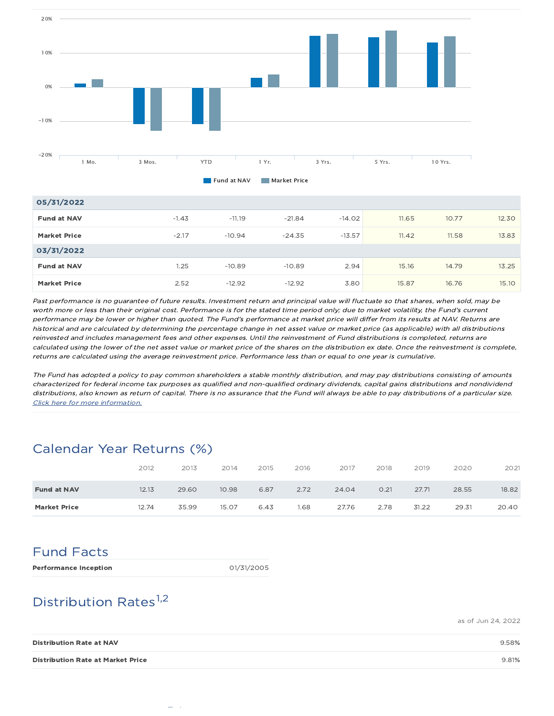

| 05/31/2022          |         |          |          |          |       |       |       |
|---------------------|---------|----------|----------|----------|-------|-------|-------|
| <b>Fund at NAV</b>  | $-1.43$ | $-11.19$ | $-21.84$ | $-14.02$ | 11.65 | 10.77 | 12.30 |
| <b>Market Price</b> | $-2.17$ | $-10.94$ | $-24.35$ | $-13.57$ | 11.42 | 11.58 | 13.83 |
| 03/31/2022          |         |          |          |          |       |       |       |
| <b>Fund at NAV</b>  | 1.25    | $-10.89$ | $-10.89$ | 2.94     | 15.16 | 14.79 | 13.25 |
| <b>Market Price</b> | 2.52    | $-12.92$ | $-12.92$ | 3.80     | 15.87 | 16.76 | 15.10 |

Past performance is no guarantee of future results. Investment return and principal value will fluctuate so that shares, when sold, may be worth more or less than their original cost. Performance is for the stated time period only; due to market volatility, the Fund's current performance may be lower or higher than quoted. The Fund's performance at market price will differ from its results at NAV. Returns are historical and are calculated by determining the percentage change in net asset value or market price (as applicable) with all distributions reinvested and includes management fees and other expenses. Until the reinvestment of Fund distributions is completed, returns are calculated using the lower of the net asset value or market price of the shares on the distribution ex date. Once the reinvestment is complete, returns are calculated using the average reinvestment price. Performance less than or equal to one year is cumulative.

The Fund has adopted a policy to pay common shareholders a stable monthly distribution, and may pay distributions consisting of amounts characterized for federal income tax purposes as qualified and non-qualified ordinary dividends, capital gains distributions and nondividend distributions, also known as return of capital. There is no assurance that the Fund will always be able to pay distributions of <sup>a</sup> particular size. Click here for more information.

## Calendar Year Returns (%)

|                     | 2012  | 2013  | 2014  | 2015 | 2016 | 2017  | 2018 | 2019  | 2020  | 2021  |
|---------------------|-------|-------|-------|------|------|-------|------|-------|-------|-------|
| <b>Fund at NAV</b>  | 12.13 | 29.60 | 10.98 | 6.87 | 2.72 | 24.04 | O.21 | 27.71 | 28.55 | 18.82 |
| <b>Market Price</b> | 12.74 | 35.99 | 15.07 | 6.43 | 1.68 | 27.76 | 2.78 | 31.22 | 29.31 | 20.40 |

# Fund Facts

Performance Inception della contrare della contrare della contrare della contrare della contrare della contra

# Distribution Rates<sup>1,2</sup>

as of Jun 24, 2022

| <b>Distribution Rate at NAV</b>          | 9.58% |
|------------------------------------------|-------|
| <b>Distribution Rate at Market Price</b> | 9.81% |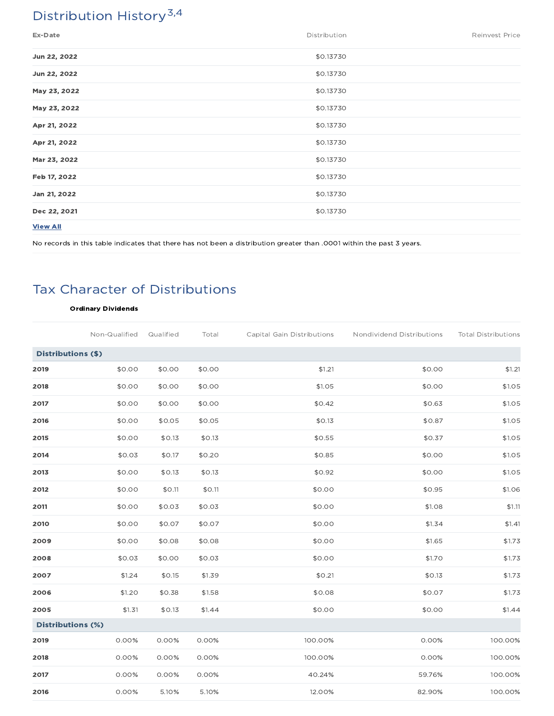# Distribution History<sup>3,4</sup>

| Ex-Date         | Distribution | Reinvest Price |
|-----------------|--------------|----------------|
| Jun 22, 2022    | \$0.13730    |                |
| Jun 22, 2022    | \$0.13730    |                |
| May 23, 2022    | \$0.13730    |                |
| May 23, 2022    | \$0.13730    |                |
| Apr 21, 2022    | \$0.13730    |                |
| Apr 21, 2022    | \$0.13730    |                |
| Mar 23, 2022    | \$0.13730    |                |
| Feb 17, 2022    | \$0.13730    |                |
| Jan 21, 2022    | \$0.13730    |                |
| Dec 22, 2021    | \$0.13730    |                |
| <b>View All</b> |              |                |

No records in this table indicates that there has not been a distribution greater than .0001 within the past 3 years.

# Tax Character of Distributions

### Ordinary Dividends

|                          | Non-Qualified | Qualified | Total  | Capital Gain Distributions | Nondividend Distributions | <b>Total Distributions</b> |
|--------------------------|---------------|-----------|--------|----------------------------|---------------------------|----------------------------|
| Distributions (\$)       |               |           |        |                            |                           |                            |
| 2019                     | \$0.00        | \$0.00    | \$0.00 | \$1.21                     | \$0.00                    | \$1.21                     |
| 2018                     | \$0.00        | \$0.00    | \$0.00 | \$1.05                     | \$0.00                    | \$1.05                     |
| 2017                     | \$0.00        | \$0.00    | \$0.00 | \$0.42                     | \$0.63                    | \$1.05                     |
| 2016                     | \$0.00        | \$0.05    | \$0.05 | \$0.13                     | \$0.87                    | \$1.05                     |
| 2015                     | \$0.00        | \$0.13    | \$0.13 | \$0.55                     | \$0.37                    | \$1.05                     |
| 2014                     | \$0.03        | \$0.17    | \$0.20 | \$0.85                     | \$0.00                    | \$1.05                     |
| 2013                     | \$0.00        | \$0.13    | \$0.13 | \$0.92                     | \$0.00                    | \$1.05                     |
| 2012                     | \$0.00        | \$0.11    | \$0.11 | \$0.00                     | \$0.95                    | \$1.06                     |
| 2011                     | \$0.00        | \$0.03    | \$0.03 | \$0.00                     | \$1.08                    | \$1.11                     |
| 2010                     | \$0.00        | \$0.07    | \$0.07 | \$0.00                     | \$1.34                    | \$1.41                     |
| 2009                     | \$0.00        | \$0.08    | \$0.08 | \$0.00                     | \$1.65                    | \$1.73                     |
| 2008                     | \$0.03        | \$0.00    | \$0.03 | \$0.00                     | \$1.70                    | \$1.73                     |
| 2007                     | \$1.24        | \$0.15    | \$1.39 | \$0.21                     | \$0.13                    | \$1.73                     |
| 2006                     | \$1.20        | \$0.38    | \$1.58 | \$0.08                     | \$0.07                    | \$1.73                     |
| 2005                     | \$1.31        | \$0.13    | \$1.44 | \$0.00                     | \$0.00                    | \$1.44                     |
| <b>Distributions (%)</b> |               |           |        |                            |                           |                            |
| 2019                     | 0.00%         | 0.00%     | 0.00%  | 100.00%                    | 0.00%                     | 100.00%                    |
| 2018                     | 0.00%         | 0.00%     | 0.00%  | 100.00%                    | 0.00%                     | 100.00%                    |
| 2017                     | 0.00%         | 0.00%     | 0.00%  | 40.24%                     | 59.76%                    | 100.00%                    |
| 2016                     | 0.00%         | 5.10%     | 5.10%  | 12.00%                     | 82.90%                    | 100.00%                    |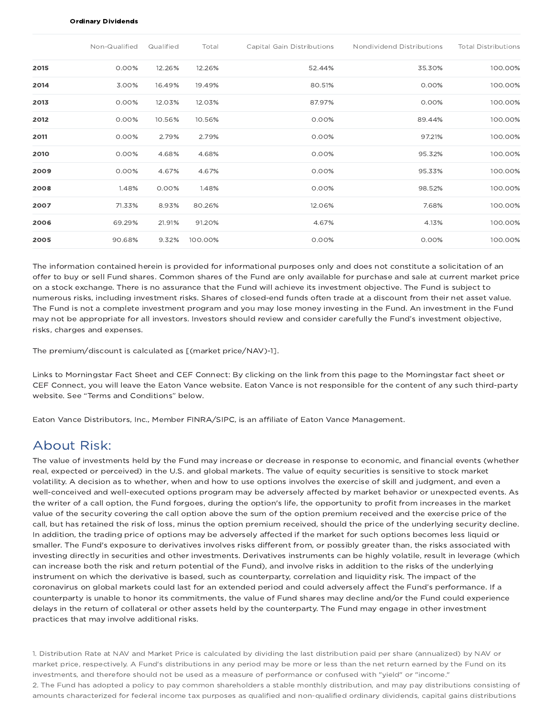#### Ordinary Dividends

|      | Non-Qualified | Qualified | Total   | Capital Gain Distributions | Nondividend Distributions | <b>Total Distributions</b> |
|------|---------------|-----------|---------|----------------------------|---------------------------|----------------------------|
| 2015 | $0.00\%$      | 12.26%    | 12.26%  | 52.44%                     | 35.30%                    | 100.00%                    |
| 2014 | 3.00%         | 16.49%    | 19.49%  | 80.51%                     | 0.00%                     | 100.00%                    |
| 2013 | 0.00%         | 12.03%    | 12.03%  | 87.97%                     | 0.00%                     | 100.00%                    |
| 2012 | 0.00%         | 10.56%    | 10.56%  | 0.00%                      | 89.44%                    | 100.00%                    |
| 2011 | 0.00%         | 2.79%     | 2.79%   | 0.00%                      | 97.21%                    | 100.00%                    |
| 2010 | 0.00%         | 4.68%     | 4.68%   | 0.00%                      | 95.32%                    | 100.00%                    |
| 2009 | $0.00\%$      | 4.67%     | 4.67%   | 0.00%                      | 95.33%                    | 100.00%                    |
| 2008 | 1.48%         | 0.00%     | 1.48%   | 0.00%                      | 98.52%                    | 100.00%                    |
| 2007 | 71.33%        | 8.93%     | 80.26%  | 12.06%                     | 7.68%                     | 100.00%                    |
| 2006 | 69.29%        | 21.91%    | 91.20%  | 4.67%                      | 4.13%                     | 100.00%                    |
| 2005 | 90.68%        | 9.32%     | 100.00% | 0.00%                      | 0.00%                     | 100.00%                    |

The information contained herein is provided for informational purposes only and does not constitute a solicitation of an offer to buy or sell Fund shares. Common shares of the Fund are only available for purchase and sale at current market price on a stock exchange. There is no assurance that the Fund will achieve its investment objective. The Fund is subject to numerous risks, including investment risks. Shares of closed-end funds often trade at a discount from their net asset value. The Fund is not a complete investment program and you may lose money investing in the Fund. An investment in the Fund may not be appropriate for all investors. Investors should review and consider carefully the Fund's investment objective, risks, charges and expenses.

The premium/discount is calculated as [(market price/NAV)-1].

Links to Morningstar Fact Sheet and CEF Connect: By clicking on the link from this page to the Morningstar fact sheet or CEF Connect, you will leave the Eaton Vance website. Eaton Vance is not responsible for the content of any such third-party website. See "Terms and Conditions" below.

Eaton Vance Distributors, Inc., Member FINRA/SIPC, is an affiliate of Eaton Vance Management.

### About Risk:

The value of investments held by the Fund may increase or decrease in response to economic, and financial events (whether real, expected or perceived) in the U.S. and global markets. The value of equity securities is sensitive to stock market volatility. A decision as to whether, when and how to use options involves the exercise of skill and judgment, and even a well-conceived and well-executed options program may be adversely affected by market behavior or unexpected events. As the writer of a call option, the Fund forgoes, during the option's life, the opportunity to profit from increases in the market value of the security covering the call option above the sum of the option premium received and the exercise price of the call, but has retained the risk of loss, minus the option premium received, should the price of the underlying security decline. In addition, the trading price of options may be adversely affected if the market for such options becomes less liquid or smaller. The Fund's exposure to derivatives involves risks different from, or possibly greater than, the risks associated with investing directly in securities and other investments. Derivatives instruments can be highly volatile, result in leverage (which can increase both the risk and return potential of the Fund), and involve risks in addition to the risks of the underlying instrument on which the derivative is based, such as counterparty, correlation and liquidity risk. The impact of the coronavirus on global markets could last for an extended period and could adversely affect the Fund's performance. If a counterparty is unable to honor its commitments, the value of Fund shares may decline and/or the Fund could experience delays in the return of collateral or other assets held by the counterparty. The Fund may engage in other investment practices that may involve additional risks.

1. Distribution Rate at NAV and Market Price is calculated by dividing the last distribution paid per share (annualized) by NAV or market price, respectively. A Fund's distributions in any period may be more or less than the net return earned by the Fund on its investments, and therefore should not be used as a measure of performance or confused with "yield" or "income." 2. The Fund has adopted a policy to pay common shareholders a stable monthly distribution, and may pay distributions consisting of amounts characterized for federal income tax purposes as qualified and non-qualified ordinary dividends, capital gains distributions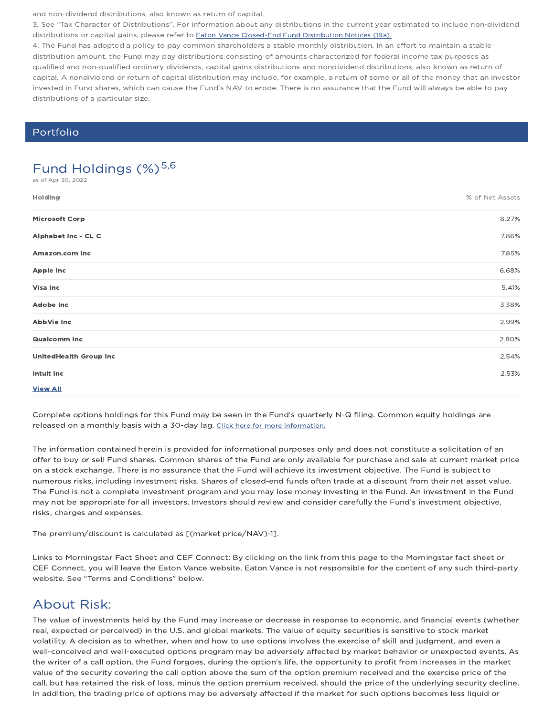and non-dividend distributions, also known as return of capital.

3. See "Tax Character of Distributions". For information about any distributions in the current year estimated to include non-dividend distributions or capital gains, please refer to Eaton Vance Closed-End Fund Distribution Notices (19a).

4. The Fund has adopted a policy to pay common shareholders a stable monthly distribution. In an effort to maintain a stable distribution amount, the Fund may pay distributions consisting of amounts characterized for federal income tax purposes as qualified and non-qualified ordinary dividends, capital gains distributions and nondividend distributions, also known as return of capital. A nondividend or return of capital distribution may include, for example, a return of some or all of the money that an investor invested in Fund shares, which can cause the Fund's NAV to erode. There is no assurance that the Fund will always be able to pay distributions of a particular size.

### Portfolio

# Fund Holdings  $(\%)^{5,6}$

as of Apr 30, 2022

| Holding                       | % of Net Assets |
|-------------------------------|-----------------|
| <b>Microsoft Corp</b>         | 8.27%           |
| Alphabet Inc - CL C           | 7.86%           |
| Amazon.com Inc                | 7.85%           |
| <b>Apple Inc</b>              | 6.68%           |
| Visa Inc                      | 5.41%           |
| <b>Adobe Inc</b>              | 3.38%           |
| AbbVie Inc                    | 2.99%           |
| <b>Qualcomm Inc</b>           | 2.80%           |
| <b>UnitedHealth Group Inc</b> | 2.54%           |
| Intuit Inc                    | 2.53%           |
| <b>View All</b>               |                 |

Complete options holdings for this Fund may be seen in the Fund's quarterly N-Q filing. Common equity holdings are released on a monthly basis with a 30-day lag. Click here for more information.

The information contained herein is provided for informational purposes only and does not constitute a solicitation of an offer to buy or sell Fund shares. Common shares of the Fund are only available for purchase and sale at current market price on a stock exchange. There is no assurance that the Fund will achieve its investment objective. The Fund is subject to numerous risks, including investment risks. Shares of closed-end funds often trade at a discount from their net asset value. The Fund is not a complete investment program and you may lose money investing in the Fund. An investment in the Fund may not be appropriate for all investors. Investors should review and consider carefully the Fund's investment objective, risks, charges and expenses.

The premium/discount is calculated as [(market price/NAV)-1].

Links to Morningstar Fact Sheet and CEF Connect: By clicking on the link from this page to the Morningstar fact sheet or CEF Connect, you will leave the Eaton Vance website. Eaton Vance is not responsible for the content of any such third-party website. See "Terms and Conditions" below.

### About Risk:

The value of investments held by the Fund may increase or decrease in response to economic, and financial events (whether real, expected or perceived) in the U.S. and global markets. The value of equity securities is sensitive to stock market volatility. A decision as to whether, when and how to use options involves the exercise of skill and judgment, and even a well-conceived and well-executed options program may be adversely affected by market behavior or unexpected events. As the writer of a call option, the Fund forgoes, during the option's life, the opportunity to profit from increases in the market value of the security covering the call option above the sum of the option premium received and the exercise price of the call, but has retained the risk of loss, minus the option premium received, should the price of the underlying security decline. In addition, the trading price of options may be adversely affected if the market for such options becomes less liquid or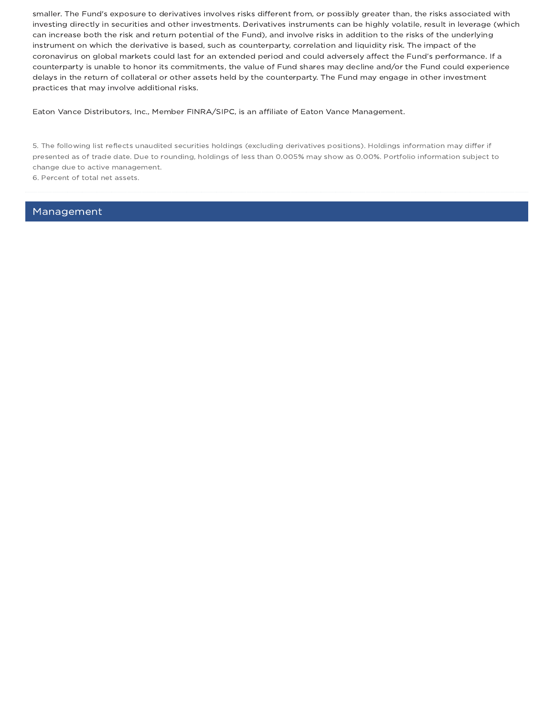smaller. The Fund's exposure to derivatives involves risks different from, or possibly greater than, the risks associated with investing directly in securities and other investments. Derivatives instruments can be highly volatile, result in leverage (which can increase both the risk and return potential of the Fund), and involve risks in addition to the risks of the underlying instrument on which the derivative is based, such as counterparty, correlation and liquidity risk. The impact of the coronavirus on global markets could last for an extended period and could adversely affect the Fund's performance. If a counterparty is unable to honor its commitments, the value of Fund shares may decline and/or the Fund could experience delays in the return of collateral or other assets held by the counterparty. The Fund may engage in other investment practices that may involve additional risks.

Eaton Vance Distributors, Inc., Member FINRA/SIPC, is an affiliate of Eaton Vance Management.

5. The following list reflects unaudited securities holdings (excluding derivatives positions). Holdings information may differ if presented as of trade date. Due to rounding, holdings of less than 0.005% may show as 0.00%. Portfolio information subject to change due to active management.

6. Percent of total net assets.

Management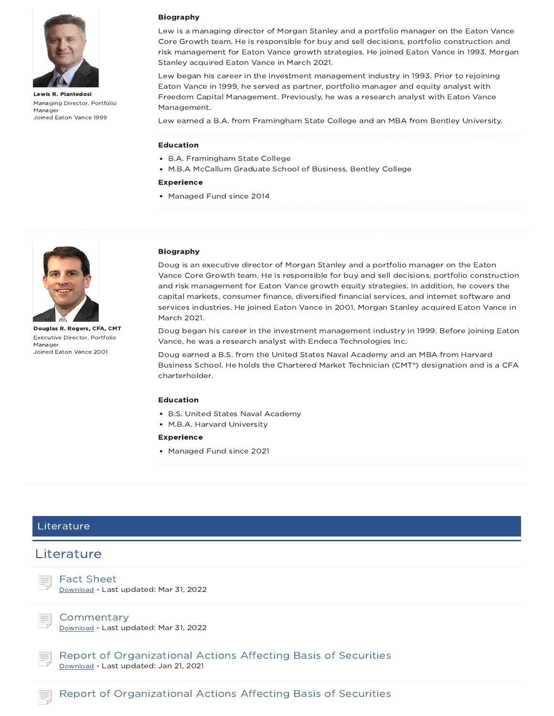

Lewis R. Piantedosi Managing Director, Portfolio Manager Joined Eaton Vance 1999

#### Biography

Lew is a managing director of Morgan Stanley and a portfolio manager on the Eaton Vance Core Growth team. He is responsible for buy and sell decisions, portfolio construction and risk management for Eaton Vance growth strategies. He joined Eaton Vance in 1993. Morgan Stanley acquired Eaton Vance in March 2021.

Lew began his career in the investment management industry in 1993. Prior to rejoining Eaton Vance in 1999, he served as partner, portfolio manager and equity analyst with Freedom Capital Management. Previously, he was a research analyst with Eaton Vance Management.

Lew earned a B.A. from Framingham State College and an MBA from Bentley University.

#### Education

- B.A. Framingham State College
- M.B.A McCallum Graduate School of Business, Bentley College

#### Experience

• Managed Fund since 2014



Douglas R. Rogers, CFA, CMT Executive Director, Portfolio Manager Joined Eaton Vance 2001

#### Biography

Doug is an executive director of Morgan Stanley and a portfolio manager on the Eaton Vance Core Growth team. He is responsible for buy and sell decisions, portfolio construction and risk management for Eaton Vance growth equity strategies. In addition, he covers the capital markets, consumer finance, diversified financial services, and internet software and services industries. He joined Eaton Vance in 2001. Morgan Stanley acquired Eaton Vance in March 2021.

Doug began his career in the investment management industry in 1999. Before joining Eaton Vance, he was a research analyst with Endeca Technologies Inc.

Doug earned a B.S. from the United States Naval Academy and an MBA from Harvard Business School. He holds the Chartered Market Technician (CMT®) designation and is a CFA charterholder.

#### Education

- B.S. United States Naval Academy
- M.B.A. Harvard University

#### Experience

• Managed Fund since 2021

### Literature

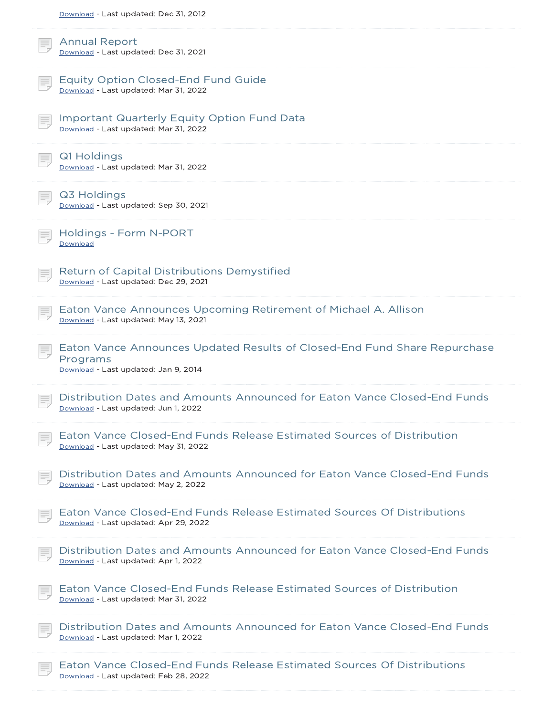| Download - Last updated: Dec 31, 2012                                                                                         |
|-------------------------------------------------------------------------------------------------------------------------------|
| <b>Annual Report</b><br>Download - Last updated: Dec 31, 2021                                                                 |
| <b>Equity Option Closed-End Fund Guide</b><br>Download - Last updated: Mar 31, 2022                                           |
| <b>Important Quarterly Equity Option Fund Data</b><br>Download - Last updated: Mar 31, 2022                                   |
| Q1 Holdings<br>Download - Last updated: Mar 31, 2022                                                                          |
| Q3 Holdings<br>Download - Last updated: Sep 30, 2021                                                                          |
| Holdings - Form N-PORT<br>Download                                                                                            |
| <b>Return of Capital Distributions Demystified</b><br>Download - Last updated: Dec 29, 2021                                   |
| Eaton Vance Announces Upcoming Retirement of Michael A. Allison<br>Download - Last updated: May 13, 2021                      |
| Eaton Vance Announces Updated Results of Closed-End Fund Share Repurchase<br>Programs<br>Download - Last updated: Jan 9, 2014 |
| Distribution Dates and Amounts Announced for Eaton Vance Closed-End Funds<br>Download - Last updated: Jun 1, 2022             |
| Eaton Vance Closed-End Funds Release Estimated Sources of Distribution<br>Download - Last updated: May 31, 2022               |
| Distribution Dates and Amounts Announced for Eaton Vance Closed-End Funds<br>Download - Last updated: May 2, 2022             |
| Eaton Vance Closed-End Funds Release Estimated Sources Of Distributions<br>Download - Last updated: Apr 29, 2022              |
| Distribution Dates and Amounts Announced for Eaton Vance Closed-End Funds<br>Download - Last updated: Apr 1, 2022             |
| Eaton Vance Closed-End Funds Release Estimated Sources of Distribution<br>Download - Last updated: Mar 31, 2022               |
| Distribution Dates and Amounts Announced for Eaton Vance Closed-End Funds<br>Download - Last updated: Mar 1, 2022             |
| Eaton Vance Closed-End Funds Release Estimated Sources Of Distributions<br>Download - Last updated: Feb 28, 2022              |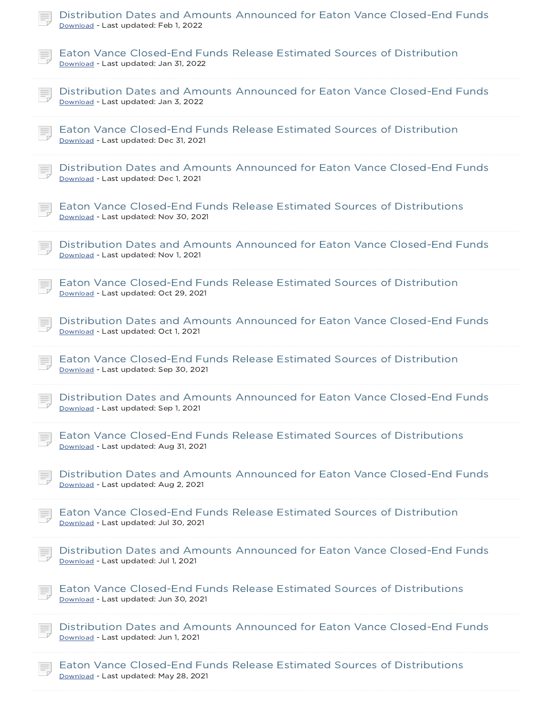| Distribution Dates and Amounts Announced for Eaton Vance Closed-End Funds<br>Download - Last updated: Feb 1, 2022 |
|-------------------------------------------------------------------------------------------------------------------|
| Eaton Vance Closed-End Funds Release Estimated Sources of Distribution<br>Download - Last updated: Jan 31, 2022   |
| Distribution Dates and Amounts Announced for Eaton Vance Closed-End Funds<br>Download - Last updated: Jan 3, 2022 |
| Eaton Vance Closed-End Funds Release Estimated Sources of Distribution<br>Download - Last updated: Dec 31, 2021   |
| Distribution Dates and Amounts Announced for Eaton Vance Closed-End Funds<br>Download - Last updated: Dec 1, 2021 |
| Eaton Vance Closed-End Funds Release Estimated Sources of Distributions<br>Download - Last updated: Nov 30, 2021  |
| Distribution Dates and Amounts Announced for Eaton Vance Closed-End Funds<br>Download - Last updated: Nov 1, 2021 |
| Eaton Vance Closed-End Funds Release Estimated Sources of Distribution<br>Download - Last updated: Oct 29, 2021   |
| Distribution Dates and Amounts Announced for Eaton Vance Closed-End Funds<br>Download - Last updated: Oct 1, 2021 |
| Eaton Vance Closed-End Funds Release Estimated Sources of Distribution<br>Download - Last updated: Sep 30, 2021   |
| Distribution Dates and Amounts Announced for Eaton Vance Closed-End Funds<br>Download - Last updated: Sep 1, 2021 |
| Eaton Vance Closed-End Funds Release Estimated Sources of Distributions<br>Download - Last updated: Aug 31, 2021  |
| Distribution Dates and Amounts Announced for Eaton Vance Closed-End Funds<br>Download - Last updated: Aug 2, 2021 |
| Eaton Vance Closed-End Funds Release Estimated Sources of Distribution<br>Download - Last updated: Jul 30, 2021   |
| Distribution Dates and Amounts Announced for Eaton Vance Closed-End Funds<br>Download - Last updated: Jul 1, 2021 |
| Eaton Vance Closed-End Funds Release Estimated Sources of Distributions<br>Download - Last updated: Jun 30, 2021  |
| Distribution Dates and Amounts Announced for Eaton Vance Closed-End Funds<br>Download - Last updated: Jun 1, 2021 |
| Eaton Vance Closed-End Funds Release Estimated Sources of Distributions<br>Download - Last updated: May 28, 2021  |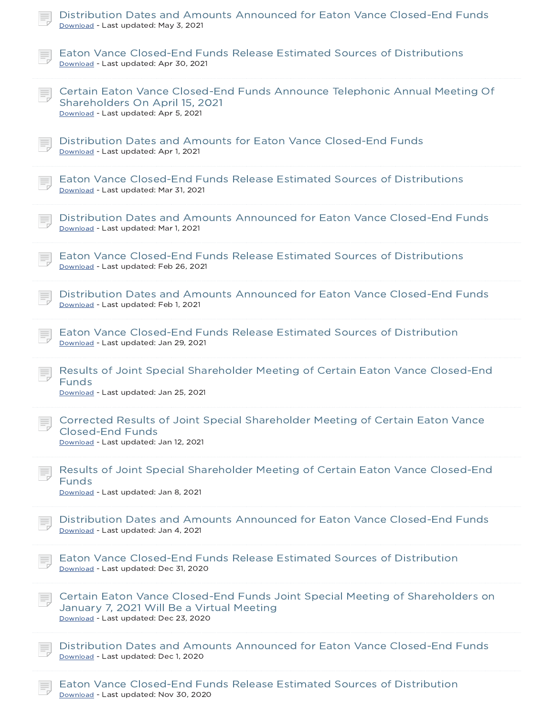| Distribution Dates and Amounts Announced for Eaton Vance Closed-End Funds<br>Download - Last updated: May 3, 2021                                                   |
|---------------------------------------------------------------------------------------------------------------------------------------------------------------------|
| Eaton Vance Closed-End Funds Release Estimated Sources of Distributions<br>Download - Last updated: Apr 30, 2021                                                    |
| Certain Eaton Vance Closed-End Funds Announce Telephonic Annual Meeting Of<br>Shareholders On April 15, 2021<br>Download - Last updated: Apr 5, 2021                |
| Distribution Dates and Amounts for Eaton Vance Closed-End Funds<br>Download - Last updated: Apr 1, 2021                                                             |
| Eaton Vance Closed-End Funds Release Estimated Sources of Distributions<br>Download - Last updated: Mar 31, 2021                                                    |
| Distribution Dates and Amounts Announced for Eaton Vance Closed-End Funds<br>Download - Last updated: Mar 1, 2021                                                   |
| Eaton Vance Closed-End Funds Release Estimated Sources of Distributions<br>Download - Last updated: Feb 26, 2021                                                    |
| Distribution Dates and Amounts Announced for Eaton Vance Closed-End Funds<br>Download - Last updated: Feb 1, 2021                                                   |
| Eaton Vance Closed-End Funds Release Estimated Sources of Distribution<br>Download - Last updated: Jan 29, 2021                                                     |
| Results of Joint Special Shareholder Meeting of Certain Eaton Vance Closed-End<br><b>Funds</b><br>Download - Last updated: Jan 25, 2021                             |
| Corrected Results of Joint Special Shareholder Meeting of Certain Eaton Vance<br><b>Closed-End Funds</b><br>Download - Last updated: Jan 12, 2021                   |
| Results of Joint Special Shareholder Meeting of Certain Eaton Vance Closed-End<br><b>Funds</b><br>Download - Last updated: Jan 8, 2021                              |
| Distribution Dates and Amounts Announced for Eaton Vance Closed-End Funds<br>Download - Last updated: Jan 4, 2021                                                   |
| Eaton Vance Closed-End Funds Release Estimated Sources of Distribution<br>Download - Last updated: Dec 31, 2020                                                     |
| Certain Eaton Vance Closed-End Funds Joint Special Meeting of Shareholders on<br>January 7, 2021 Will Be a Virtual Meeting<br>Download - Last updated: Dec 23, 2020 |
| Distribution Dates and Amounts Announced for Eaton Vance Closed-End Funds<br>Download - Last updated: Dec 1, 2020                                                   |
| Eaton Vance Closed-End Funds Release Estimated Sources of Distribution                                                                                              |

Download - Last updated: Nov 30, 2020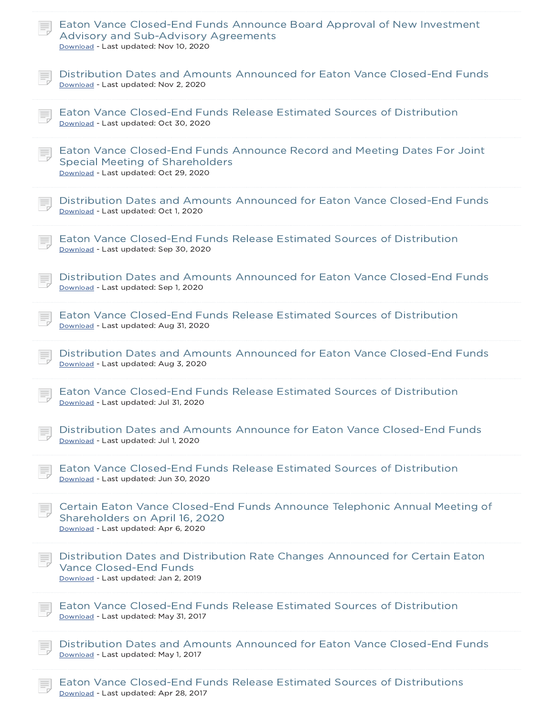| Eaton Vance Closed-End Funds Announce Board Approval of New Investment<br>Advisory and Sub-Advisory Agreements<br>Download - Last updated: Nov 10, 2020     |
|-------------------------------------------------------------------------------------------------------------------------------------------------------------|
| Distribution Dates and Amounts Announced for Eaton Vance Closed-End Funds<br>Download - Last updated: Nov 2, 2020                                           |
| Eaton Vance Closed-End Funds Release Estimated Sources of Distribution<br>Download - Last updated: Oct 30, 2020                                             |
| Eaton Vance Closed-End Funds Announce Record and Meeting Dates For Joint<br><b>Special Meeting of Shareholders</b><br>Download - Last updated: Oct 29, 2020 |
| Distribution Dates and Amounts Announced for Eaton Vance Closed-End Funds<br>Download - Last updated: Oct 1, 2020                                           |
| Eaton Vance Closed-End Funds Release Estimated Sources of Distribution<br>Download - Last updated: Sep 30, 2020                                             |
| Distribution Dates and Amounts Announced for Eaton Vance Closed-End Funds<br>Download - Last updated: Sep 1, 2020                                           |
| Eaton Vance Closed-End Funds Release Estimated Sources of Distribution<br>Download - Last updated: Aug 31, 2020                                             |
| Distribution Dates and Amounts Announced for Eaton Vance Closed-End Funds<br>Download - Last updated: Aug 3, 2020                                           |
| Eaton Vance Closed-End Funds Release Estimated Sources of Distribution<br>Download - Last updated: Jul 31, 2020                                             |
| Distribution Dates and Amounts Announce for Eaton Vance Closed-End Funds<br>Download - Last updated: Jul 1, 2020                                            |
| Eaton Vance Closed-End Funds Release Estimated Sources of Distribution<br>Download - Last updated: Jun 30, 2020                                             |
| Certain Eaton Vance Closed-End Funds Announce Telephonic Annual Meeting of<br>Shareholders on April 16, 2020<br>Download - Last updated: Apr 6, 2020        |
| Distribution Dates and Distribution Rate Changes Announced for Certain Eaton<br><b>Vance Closed-End Funds</b><br>Download - Last updated: Jan 2, 2019       |
| Eaton Vance Closed-End Funds Release Estimated Sources of Distribution<br>Download - Last updated: May 31, 2017                                             |
| Distribution Dates and Amounts Announced for Eaton Vance Closed-End Funds<br>Download - Last updated: May 1, 2017                                           |
| Eaton Vance Closed-End Eunds Release Estimated Sources of Distributions                                                                                     |

Vance Closed-End Funds Release Estimated Sources of Distributions Download - Last updated: Apr 28, 2017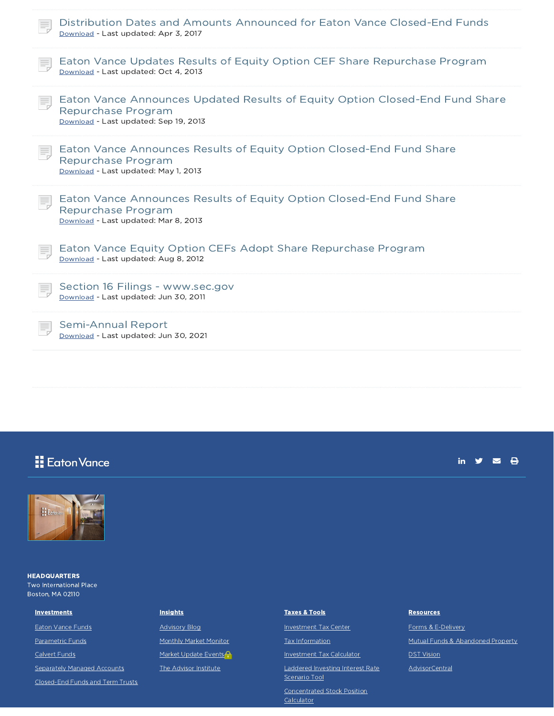| Distribution Dates and Amounts Announced for Eaton Vance Closed-End Funds<br>Download - Last updated: Apr 3, 2017                           |
|---------------------------------------------------------------------------------------------------------------------------------------------|
| Eaton Vance Updates Results of Equity Option CEF Share Repurchase Program<br>Download - Last updated: Oct 4, 2013                           |
| Eaton Vance Announces Updated Results of Equity Option Closed-End Fund Share<br>Repurchase Program<br>Download - Last updated: Sep 19, 2013 |
| Eaton Vance Announces Results of Equity Option Closed-End Fund Share<br>Repurchase Program<br>Download - Last updated: May 1, 2013          |
| Eaton Vance Announces Results of Equity Option Closed-End Fund Share<br>Repurchase Program<br>Download - Last updated: Mar 8, 2013          |
| Eaton Vance Equity Option CEFs Adopt Share Repurchase Program<br>Download - Last updated: Aug 8, 2012                                       |
| Section 16 Filings - www.sec.gov<br>Download - Last updated: Jun 30, 2011                                                                   |
| Semi-Annual Report<br>Download - Last updated: Jun 30, 2021                                                                                 |

# **H** Eaton Vance

### in  $y = 0$



**HEADQUARTERS** Two International Place Boston, MA 02110

**Investments** 

Eaton Vance Funds

Parametric Funds

Calvert Funds

Separately Managed Accounts

Closed-End Funds and Term Trusts

#### **Insights**

Advisory Blog Monthly Market Monitor Market Update Events<sup>2</sup> The Advisor Institute

#### Taxes & Tools

Investment Tax Center Tax Information

Investment Tax Calculator Laddered Investing Interest Rate Scenario Tool

Concentrated Stock Position **Calculator** 

#### **Resources**

Forms & E-Delivery Mutual Funds & Abandoned Property DST Vision AdvisorCentral